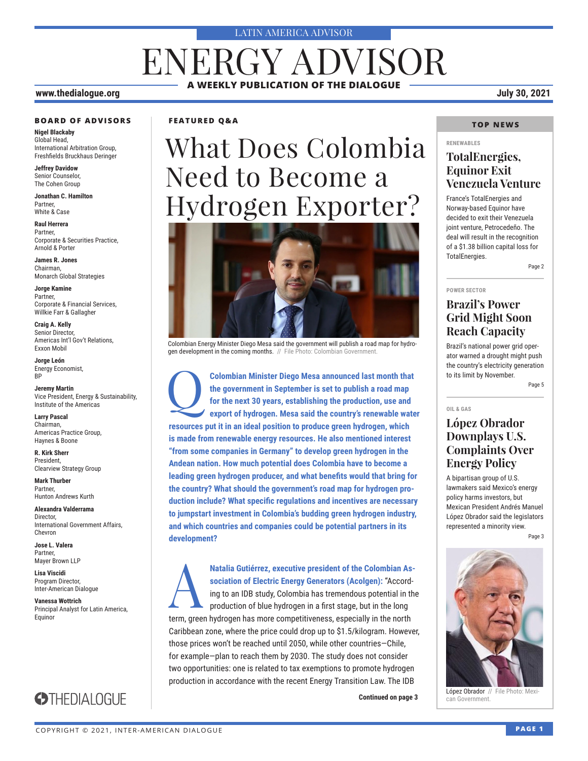#### LATIN AMERICA ADVISOR

## **A WEEKLY PUBLICATION OF THE DIALOGUE** ENERGY ADVISOR

#### **www.thedialogue.org July 30, 2021**

#### **BOARD OF ADVISORS**

**Nigel Blackaby** Global Head, International Arbitration Group, Freshfields Bruckhaus Deringer

**Jeffrey Davidow** Senior Counselor, The Cohen Group

**Jonathan C. Hamilton** Partner, White & Case

**Raul Herrera** Partner, Corporate & Securities Practice, Arnold & Porter

**James R. Jones** Chairman, Monarch Global Strategies

**Jorge Kamine** Partner, Corporate & Financial Services, Willkie Farr & Gallagher

**Craig A. Kelly** Senior Director, Americas Int'l Gov't Relations, Exxon Mobil

**Jorge León** Energy Economist, BP

**Jeremy Martin** Vice President, Energy & Sustainability, Institute of the Americas

**Larry Pascal** Chairman, Americas Practice Group, Haynes & Boone

**R. Kirk Sherr** President, Clearview Strategy Group

**Mark Thurber** Partner, Hunton Andrews Kurth

**Alexandra Valderrama** Director, International Government Affairs, Chevron

**Jose L. Valera** Partner, Mayer Brown LLP

**Lisa Viscidi** Program Director, Inter-American Dialogue

**Vanessa Wottrich** Principal Analyst for Latin America, Equinor



### **FEATURED Q&A**

# What Does Colombia Need to Become a Hydrogen Exporter?



Colombian Energy Minister Diego Mesa said the government will publish a road map for hydrogen development in the coming months. // File Photo: Colombian Government.

Q**Colombian Minister Diego Mesa announced last month that the government in September is set to publish a road map for the next 30 years, establishing the production, use and export of hydrogen. Mesa said the country's renewable water resources put it in an ideal position to produce green hydrogen, which is made from renewable energy resources. He also mentioned interest "from some companies in Germany" to develop green hydrogen in the Andean nation. How much potential does Colombia have to become a leading green hydrogen producer, and what benefits would that bring for the country? What should the government's road map for hydrogen production include? What specific regulations and incentives are necessary to jumpstart investment in Colombia's budding green hydrogen industry, and which countries and companies could be potential partners in its development?**

Matalia Gutiérrez, executive president of the Colombian Association of Electric Energy Generators (Acolgen): "According to an IDB study, Colombia has tremendous potential in the production of blue hydrogen in a first stage **sociation of Electric Energy Generators (Acolgen):** "According to an IDB study, Colombia has tremendous potential in the production of blue hydrogen in a first stage, but in the long term, green hydrogen has more competitiveness, especially in the north Caribbean zone, where the price could drop up to \$1.5/kilogram. However, those prices won't be reached until 2050, while other countries—Chile, for example—plan to reach them by 2030. The study does not consider two opportunities: one is related to tax exemptions to promote hydrogen production in accordance with the recent Energy Transition Law. The IDB

#### **TOP NEWS**

#### **RENEWABLES**

### **TotalEnergies, Equinor Exit Venezuela Venture**

France's TotalEnergies and Norway-based Equinor have decided to exit their Venezuela joint venture, Petrocedeño. The deal will result in the recognition of a \$1.38 billion capital loss for TotalEnergies.

Page 2

#### **POWER SECTOR**

**OIL & GAS**

### **Brazil's Power Grid Might Soon Reach Capacity**

Brazil's national power grid operator warned a drought might push the country's electricity generation to its limit by November. Page 5

### **López Obrador Downplays U.S. Complaints Over Energy Policy**

A bipartisan group of U.S. lawmakers said Mexico's energy policy harms investors, but Mexican President Andrés Manuel López Obrador said the legislators represented a minority view.

Page 3



**Continued on page 3 López Obrador** // File Photo: Mexi-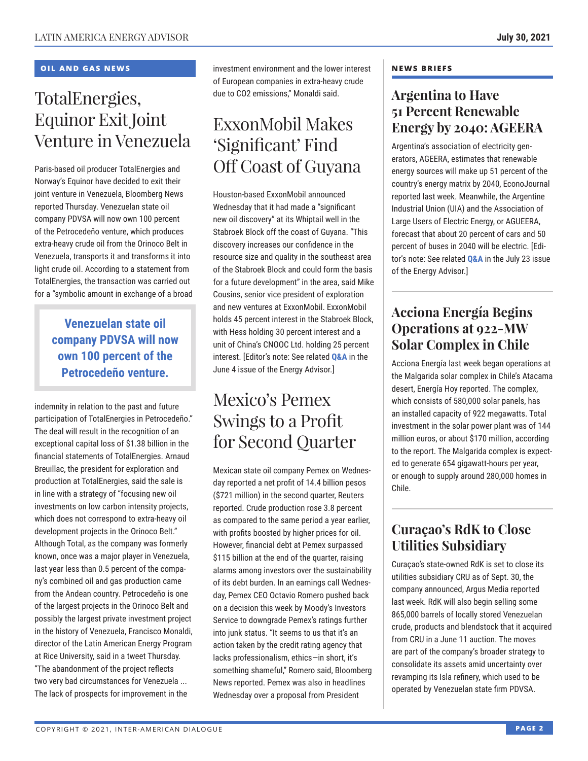### **OIL AND GAS NEWS**

## TotalEnergies, Equinor Exit Joint Venture in Venezuela

Paris-based oil producer TotalEnergies and Norway's Equinor have decided to exit their joint venture in Venezuela, Bloomberg News reported Thursday. Venezuelan state oil company PDVSA will now own 100 percent of the Petrocedeño venture, which produces extra-heavy crude oil from the Orinoco Belt in Venezuela, transports it and transforms it into light crude oil. According to a statement from TotalEnergies, the transaction was carried out for a "symbolic amount in exchange of a broad

### **Venezuelan state oil company PDVSA will now own 100 percent of the Petrocedeño venture.**

indemnity in relation to the past and future participation of TotalEnergies in Petrocedeño." The deal will result in the recognition of an exceptional capital loss of \$1.38 billion in the financial statements of TotalEnergies. Arnaud Breuillac, the president for exploration and production at TotalEnergies, said the sale is in line with a strategy of "focusing new oil investments on low carbon intensity projects, which does not correspond to extra-heavy oil development projects in the Orinoco Belt." Although Total, as the company was formerly known, once was a major player in Venezuela, last year less than 0.5 percent of the company's combined oil and gas production came from the Andean country. Petrocedeño is one of the largest projects in the Orinoco Belt and possibly the largest private investment project in the history of Venezuela, Francisco Monaldi, director of the Latin American Energy Program at Rice University, said in a tweet Thursday. "The abandonment of the project reflects two very bad circumstances for Venezuela ... The lack of prospects for improvement in the

investment environment and the lower interest of European companies in extra-heavy crude due to CO2 emissions," Monaldi said.

## ExxonMobil Makes 'Significant' Find Off Coast of Guyana

Houston-based ExxonMobil announced Wednesday that it had made a "significant new oil discovery" at its Whiptail well in the Stabroek Block off the coast of Guyana. "This discovery increases our confidence in the resource size and quality in the southeast area of the Stabroek Block and could form the basis for a future development" in the area, said Mike Cousins, senior vice president of exploration and new ventures at ExxonMobil. ExxonMobil holds 45 percent interest in the Stabroek Block, with Hess holding 30 percent interest and a unit of China's CNOOC Ltd. holding 25 percent interest. [Editor's note: See related **[Q&A](http://www.thedialogue.org/wp-content/uploads/2021/06/LEA210604.pdf)** in the June 4 issue of the Energy Advisor.]

## Mexico's Pemex Swings to a Profit for Second Quarter

Mexican state oil company Pemex on Wednesday reported a net profit of 14.4 billion pesos (\$721 million) in the second quarter, Reuters reported. Crude production rose 3.8 percent as compared to the same period a year earlier, with profits boosted by higher prices for oil. However, financial debt at Pemex surpassed \$115 billion at the end of the quarter, raising alarms among investors over the sustainability of its debt burden. In an earnings call Wednesday, Pemex CEO Octavio Romero pushed back on a decision this week by Moody's Investors Service to downgrade Pemex's ratings further into junk status. "It seems to us that it's an action taken by the credit rating agency that lacks professionalism, ethics—in short, it's something shameful," Romero said, Bloomberg News reported. Pemex was also in headlines Wednesday over a proposal from President

### **NEWS BRIEFS**

### **Argentina to Have 51 Percent Renewable Energy by 2040: AGEERA**

Argentina's association of electricity generators, AGEERA, estimates that renewable energy sources will make up 51 percent of the country's energy matrix by 2040, EconoJournal reported last week. Meanwhile, the Argentine Industrial Union (UIA) and the Association of Large Users of Electric Energy, or AGUEERA, forecast that about 20 percent of cars and 50 percent of buses in 2040 will be electric. [Editor's note: See related **[Q&A](http://www.thedialogue.org/wp-content/uploads/2021/07/LEA210723.pdf)** in the July 23 issue of the Energy Advisor.]

### **Acciona Energía Begins Operations at 922-MW Solar Complex in Chile**

Acciona Energía last week began operations at the Malgarida solar complex in Chile's Atacama desert, Energía Hoy reported. The complex, which consists of 580,000 solar panels, has an installed capacity of 922 megawatts. Total investment in the solar power plant was of 144 million euros, or about \$170 million, according to the report. The Malgarida complex is expected to generate 654 gigawatt-hours per year, or enough to supply around 280,000 homes in Chile.

### **Curaçao's RdK to Close Utilities Subsidiary**

Curaçao's state-owned RdK is set to close its utilities subsidiary CRU as of Sept. 30, the company announced, Argus Media reported last week. RdK will also begin selling some 865,000 barrels of locally stored Venezuelan crude, products and blendstock that it acquired from CRU in a June 11 auction. The moves are part of the company's broader strategy to consolidate its assets amid uncertainty over revamping its Isla refinery, which used to be operated by Venezuelan state firm PDVSA.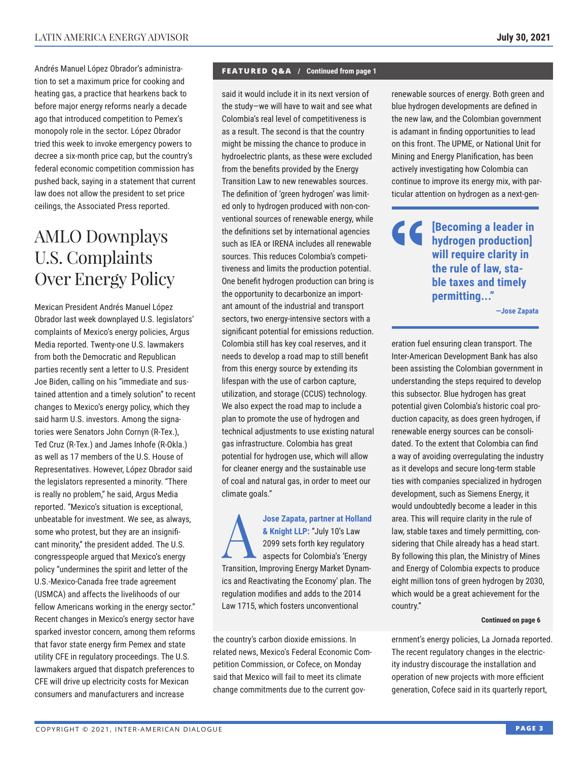Andrés Manuel López Obrador's administration to set a maximum price for cooking and heating gas, a practice that hearkens back to before major energy reforms nearly a decade ago that introduced competition to Pemex's monopoly role in the sector. López Obrador tried this week to invoke emergency powers to decree a six-month price cap, but the country's federal economic competition commission has pushed back, saying in a statement that current law does not allow the president to set price ceilings, the Associated Press reported.

## AMLO Downplays U.S. Complaints Over Energy Policy

Mexican President Andrés Manuel López Obrador last week downplayed U.S. legislators' complaints of Mexico's energy policies, Argus Media reported. Twenty-one U.S. lawmakers from both the Democratic and Republican parties recently sent a letter to U.S. President Joe Biden, calling on his "immediate and sustained attention and a timely solution" to recent changes to Mexico's energy policy, which they said harm U.S. investors. Among the signatories were Senators John Cornyn (R-Tex.), Ted Cruz (R-Tex.) and James Inhofe (R-Okla.) as well as 17 members of the U.S. House of Representatives. However, López Obrador said the legislators represented a minority. "There is really no problem," he said, Argus Media reported. "Mexico's situation is exceptional, unbeatable for investment. We see, as always, some who protest, but they are an insignificant minority," the president added. The U.S. congresspeople argued that Mexico's energy policy "undermines the spirit and letter of the U.S.-Mexico-Canada free trade agreement (USMCA) and affects the livelihoods of our fellow Americans working in the energy sector." Recent changes in Mexico's energy sector have sparked investor concern, among them reforms that favor state energy firm Pemex and state utility CFE in regulatory proceedings. The U.S. lawmakers argued that dispatch preferences to CFE will drive up electricity costs for Mexican consumers and manufacturers and increase

#### **FEATURED Q&A / Continued from page 1**

said it would include it in its next version of the study—we will have to wait and see what Colombia's real level of competitiveness is as a result. The second is that the country might be missing the chance to produce in hydroelectric plants, as these were excluded from the benefits provided by the Energy Transition Law to new renewables sources. The definition of 'green hydrogen' was limited only to hydrogen produced with non-conventional sources of renewable energy, while the definitions set by international agencies such as IEA or IRENA includes all renewable sources. This reduces Colombia's competitiveness and limits the production potential. One benefit hydrogen production can bring is the opportunity to decarbonize an important amount of the industrial and transport sectors, two energy-intensive sectors with a significant potential for emissions reduction. Colombia still has key coal reserves, and it needs to develop a road map to still benefit from this energy source by extending its lifespan with the use of carbon capture, utilization, and storage (CCUS) technology. We also expect the road map to include a plan to promote the use of hydrogen and technical adjustments to use existing natural gas infrastructure. Colombia has great potential for hydrogen use, which will allow for cleaner energy and the sustainable use of coal and natural gas, in order to meet our climate goals."

Jose Zapata, partner at Holland<br>
& Knight LLP: "July 10's Law<br>
2099 sets for the key regulatory<br>
aspects for Colombia's 'Energy<br>
Transition Improving Energy Market Dynam **& Knight LLP:** "July 10's Law 2099 sets forth key regulatory aspects for Colombia's 'Energy Transition, Improving Energy Market Dynamics and Reactivating the Economy' plan. The regulation modifies and adds to the 2014 Law 1715, which fosters unconventional

the country's carbon dioxide emissions. In related news, Mexico's Federal Economic Competition Commission, or Cofece, on Monday said that Mexico will fail to meet its climate change commitments due to the current govrenewable sources of energy. Both green and blue hydrogen developments are defined in the new law, and the Colombian government is adamant in finding opportunities to lead on this front. The UPME, or National Unit for Mining and Energy Planification, has been actively investigating how Colombia can continue to improve its energy mix, with particular attention on hydrogen as a next-gen-

**EXECUTE BECOMING A LEADER IN hydrogen production] will require clarity in the rule of law, stable taxes and timely permitting..."**

**—Jose Zapata**

eration fuel ensuring clean transport. The Inter-American Development Bank has also been assisting the Colombian government in understanding the steps required to develop this subsector. Blue hydrogen has great potential given Colombia's historic coal production capacity, as does green hydrogen, if renewable energy sources can be consolidated. To the extent that Colombia can find a way of avoiding overregulating the industry as it develops and secure long-term stable ties with companies specialized in hydrogen development, such as Siemens Energy, it would undoubtedly become a leader in this area. This will require clarity in the rule of law, stable taxes and timely permitting, considering that Chile already has a head start. By following this plan, the Ministry of Mines and Energy of Colombia expects to produce eight million tons of green hydrogen by 2030, which would be a great achievement for the country."

#### **Continued on page 6**

ernment's energy policies, La Jornada reported. The recent regulatory changes in the electricity industry discourage the installation and operation of new projects with more efficient generation, Cofece said in its quarterly report,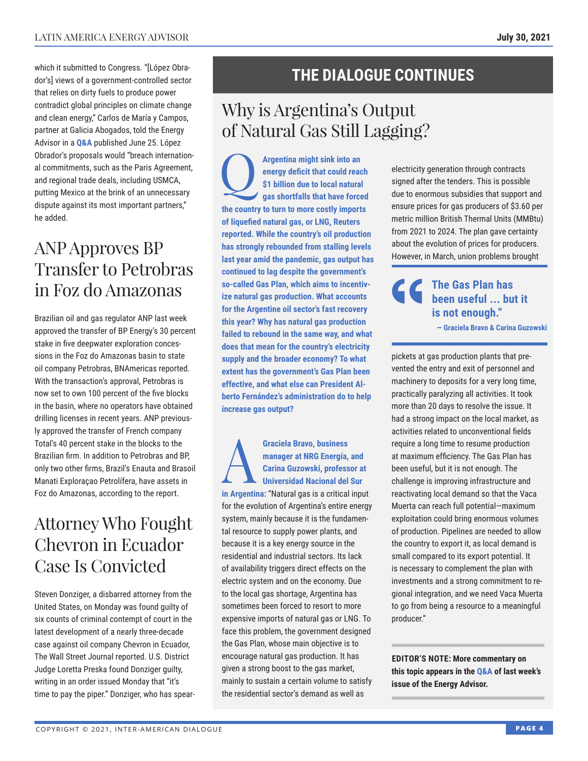which it submitted to Congress. "[López Obrador's] views of a government-controlled sector that relies on dirty fuels to produce power contradict global principles on climate change and clean energy," Carlos de María y Campos, partner at Galicia Abogados, told the Energy Advisor in a **Q&A** published June 25. López Obrador's p[roposa](http://www.thedialogue.org/wp-content/uploads/2021/06/LEA210625.pdf)ls would "breach international commitments, such as the Paris Agreement, and regional trade deals, including USMCA, putting Mexico at the brink of an unnecessary dispute against its most important partners," he added.

## ANP Approves BP Transfer to Petrobras in Foz do Amazonas

Brazilian oil and gas regulator ANP last week approved the transfer of BP Energy's 30 percent stake in five deepwater exploration concessions in the Foz do Amazonas basin to state oil company Petrobras, BNAmericas reported. With the transaction's approval, Petrobras is now set to own 100 percent of the five blocks in the basin, where no operators have obtained drilling licenses in recent years. ANP previously approved the transfer of French company Total's 40 percent stake in the blocks to the Brazilian firm. In addition to Petrobras and BP, only two other firms, Brazil's Enauta and Brasoil Manati Exploraçao Petrolífera, have assets in Foz do Amazonas, according to the report.

## Attorney Who Fought Chevron in Ecuador Case Is Convicted

Steven Donziger, a disbarred attorney from the United States, on Monday was found guilty of six counts of criminal contempt of court in the latest development of a nearly three-decade case against oil company Chevron in Ecuador, The Wall Street Journal reported. U.S. District Judge Loretta Preska found Donziger guilty, writing in an order issued Monday that "it's time to pay the piper." Donziger, who has spear-

## **THE DIALOGUE CONTINUES**

## Why is Argentina's Output of Natural Gas Still Lagging?

**Argentina might sink into an energy deficit that could reach \$1 billion due to local natural gas shortfalls that have forced energy deficit that could reach \$1 billion due to local natural the country to turn to more costly imports of liquefied natural gas, or LNG, Reuters reported. While the country's oil production has strongly rebounded from stalling levels last year amid the pandemic, gas output has continued to lag despite the government's so-called Gas Plan, which aims to incentivize natural gas production. What accounts for the Argentine oil sector's fast recovery this year? Why has natural gas production failed to rebound in the same way, and what does that mean for the country's electricity supply and the broader economy? To what extent has the government's Gas Plan been effective, and what else can President Alberto Fernández's administration do to help increase gas output?**

Graciela Bravo, business<br>
manager at NRG Energía,<br>
Carina Guzowski, profess<br>
Universidad Nacional del<br>
in Argentine: "Neturel goe is a critical **manager at NRG Energía, and Carina Guzowski, professor at Universidad Nacional del Sur in Argentina:** "Natural gas is a critical input for the evolution of Argentina's entire energy system, mainly because it is the fundamental resource to supply power plants, and because it is a key energy source in the residential and industrial sectors. Its lack of availability triggers direct effects on the electric system and on the economy. Due to the local gas shortage, Argentina has sometimes been forced to resort to more expensive imports of natural gas or LNG. To face this problem, the government designed the Gas Plan, whose main objective is to encourage natural gas production. It has given a strong boost to the gas market, mainly to sustain a certain volume to satisfy the residential sector's demand as well as

electricity generation through contracts signed after the tenders. This is possible due to enormous subsidies that support and ensure prices for gas producers of \$3.60 per metric million British Thermal Units (MMBtu) from 2021 to 2024. The plan gave certainty about the evolution of prices for producers. However, in March, union problems brought

**The Gas Plan has been useful ... but it is not enough." — Graciela Bravo & Carina Guzowski**

pickets at gas production plants that prevented the entry and exit of personnel and machinery to deposits for a very long time, practically paralyzing all activities. It took more than 20 days to resolve the issue. It had a strong impact on the local market, as activities related to unconventional fields require a long time to resume production at maximum efficiency. The Gas Plan has been useful, but it is not enough. The challenge is improving infrastructure and reactivating local demand so that the Vaca Muerta can reach full potential—maximum exploitation could bring enormous volumes of production. Pipelines are needed to allow the country to export it, as local demand is small compared to its export potential. It is necessary to complement the plan with investments and a strong commitment to regional integration, and we need Vaca Muerta to go from being a resource to a meaningful producer."

**EDITOR'S NOTE: More commentary on this topic appears in th[e Q&A of](http://www.thedialogue.org/wp-content/uploads/2021/07/LEA210723.pdf) last week's issue of the Energy Advisor.**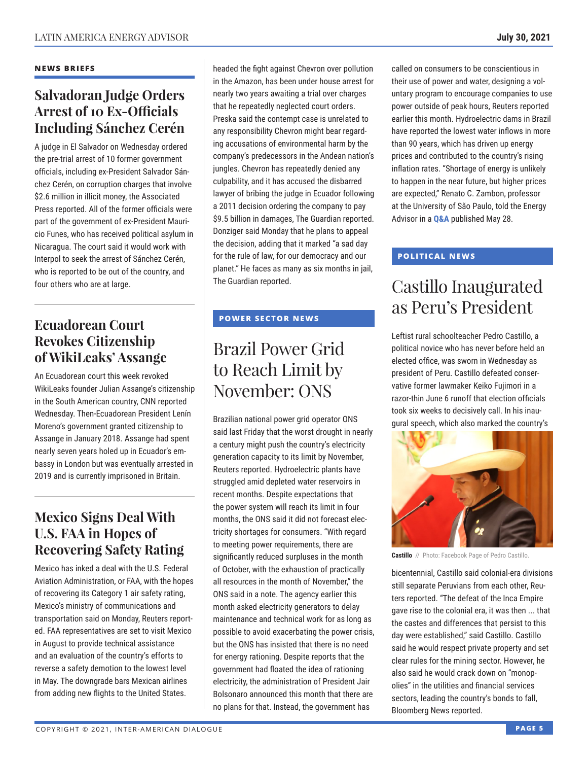### **NEWS BRIEFS**

### **Salvadoran Judge Orders Arrest of 10 Ex-Officials Including Sánchez Cerén**

A judge in El Salvador on Wednesday ordered the pre-trial arrest of 10 former government officials, including ex-President Salvador Sánchez Cerén, on corruption charges that involve \$2.6 million in illicit money, the Associated Press reported. All of the former officials were part of the government of ex-President Mauricio Funes, who has received political asylum in Nicaragua. The court said it would work with Interpol to seek the arrest of Sánchez Cerén, who is reported to be out of the country, and four others who are at large.

### **Ecuadorean Court Revokes Citizenship of WikiLeaks' Assange**

An Ecuadorean court this week revoked WikiLeaks founder Julian Assange's citizenship in the South American country, CNN reported Wednesday. Then-Ecuadorean President Lenín Moreno's government granted citizenship to Assange in January 2018. Assange had spent nearly seven years holed up in Ecuador's embassy in London but was eventually arrested in 2019 and is currently imprisoned in Britain.

### **Mexico Signs Deal With U.S. FAA in Hopes of Recovering Safety Rating**

Mexico has inked a deal with the U.S. Federal Aviation Administration, or FAA, with the hopes of recovering its Category 1 air safety rating, Mexico's ministry of communications and transportation said on Monday, Reuters reported. FAA representatives are set to visit Mexico in August to provide technical assistance and an evaluation of the country's efforts to reverse a safety demotion to the lowest level in May. The downgrade bars Mexican airlines from adding new flights to the United States.

headed the fight against Chevron over pollution in the Amazon, has been under house arrest for nearly two years awaiting a trial over charges that he repeatedly neglected court orders. Preska said the contempt case is unrelated to any responsibility Chevron might bear regarding accusations of environmental harm by the company's predecessors in the Andean nation's jungles. Chevron has repeatedly denied any culpability, and it has accused the disbarred lawyer of bribing the judge in Ecuador following a 2011 decision ordering the company to pay \$9.5 billion in damages, The Guardian reported. Donziger said Monday that he plans to appeal the decision, adding that it marked "a sad day for the rule of law, for our democracy and our planet." He faces as many as six months in jail, The Guardian reported.

### **POWER SECTOR NEWS**

## Brazil Power Grid to Reach Limit by November: ONS

Brazilian national power grid operator ONS said last Friday that the worst drought in nearly a century might push the country's electricity generation capacity to its limit by November, Reuters reported. Hydroelectric plants have struggled amid depleted water reservoirs in recent months. Despite expectations that the power system will reach its limit in four months, the ONS said it did not forecast electricity shortages for consumers. "With regard to meeting power requirements, there are significantly reduced surpluses in the month of October, with the exhaustion of practically all resources in the month of November," the ONS said in a note. The agency earlier this month asked electricity generators to delay maintenance and technical work for as long as possible to avoid exacerbating the power crisis, but the ONS has insisted that there is no need for energy rationing. Despite reports that the government had floated the idea of rationing electricity, the administration of President Jair Bolsonaro announced this month that there are no plans for that. Instead, the government has

called on consumers to be conscientious in their use of power and water, designing a voluntary program to encourage companies to use power outside of peak hours, Reuters reported earlier this month. Hydroelectric dams in Brazil have reported the lowest water inflows in more than 90 years, which has driven up energy prices and contributed to the country's rising inflation rates. "Shortage of energy is unlikely to happen in the near future, but higher prices are expected," Renato C. Zambon, professor at the University of São Paulo, told the Energy Advisor in a **[Q&A](http://www.thedialogue.org/wp-content/uploads/2021/05/LEA210528.pdf)** published May 28.

### **POLITICAL NEWS**

## Castillo Inaugurated as Peru's President

Leftist rural schoolteacher Pedro Castillo, a political novice who has never before held an elected office, was sworn in Wednesday as president of Peru. Castillo defeated conservative former lawmaker Keiko Fujimori in a razor-thin June 6 runoff that election officials took six weeks to decisively call. In his inaugural speech, which also marked the country's



**Castillo** // Photo: Facebook Page of Pedro Castillo.

bicentennial, Castillo said colonial-era divisions still separate Peruvians from each other, Reuters reported. "The defeat of the Inca Empire gave rise to the colonial era, it was then ... that the castes and differences that persist to this day were established," said Castillo. Castillo said he would respect private property and set clear rules for the mining sector. However, he also said he would crack down on "monopolies" in the utilities and financial services sectors, leading the country's bonds to fall, Bloomberg News reported.